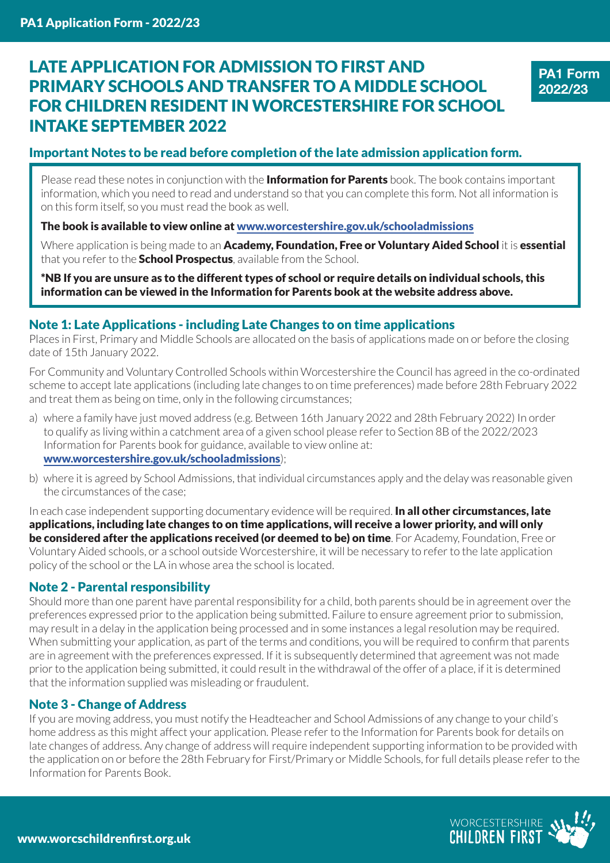# LATE APPLICATION FOR ADMISSION TO FIRST AND PRIMARY SCHOOLS AND TRANSFER TO A MIDDLE SCHOOL FOR CHILDREN RESIDENT IN WORCESTERSHIRE FOR SCHOOL INTAKE SEPTEMBER 2022



### Important Notes to be read before completion of the late admission application form.

Please read these notes in conjunction with the **Information for Parents** book. The book contains important information, which you need to read and understand so that you can complete this form. Not all information is on this form itself, so you must read the book as well.

The book is available to view online at www.worcestershire.gov.uk/schooladmissions

Where application is being made to an Academy, Foundation, Free or Voluntary Aided School it is essential that you refer to the **School Prospectus**, available from the School.

\*NB If you are unsure as to the different types of school or require details on individual schools, this information can be viewed in the Information for Parents book at the website address above.

#### Note 1: Late Applications - including Late Changes to on time applications

Places in First, Primary and Middle Schools are allocated on the basis of applications made on or before the closing date of 15th January 2022.

For Community and Voluntary Controlled Schools within Worcestershire the Council has agreed in the co-ordinated scheme to accept late applications (including late changes to on time preferences) made before 28th February 2022 and treat them as being on time, only in the following circumstances;

- a) where a family have just moved address (e.g. Between 16th January 2022 and 28th February 2022) In order to qualify as living within a catchment area of a given school please refer to Section 8B of the 2022/2023 Information for Parents book for guidance, available to view online at: www.worcestershire.gov.uk/schooladmissions);
- b) where it is agreed by School Admissions, that individual circumstances apply and the delay was reasonable given the circumstances of the case;

In each case independent supporting documentary evidence will be required. In all other circumstances, late applications, including late changes to on time applications, will receive a lower priority, and will only be considered after the applications received (or deemed to be) on time. For Academy, Foundation, Free or Voluntary Aided schools, or a school outside Worcestershire, it will be necessary to refer to the late application policy of the school or the LA in whose area the school is located.

### Note 2 - Parental responsibility

Should more than one parent have parental responsibility for a child, both parents should be in agreement over the preferences expressed prior to the application being submitted. Failure to ensure agreement prior to submission, may result in a delay in the application being processed and in some instances a legal resolution may be required. When submitting your application, as part of the terms and conditions, you will be required to confirm that parents are in agreement with the preferences expressed. If it is subsequently determined that agreement was not made prior to the application being submitted, it could result in the withdrawal of the offer of a place, if it is determined that the information supplied was misleading or fraudulent.

### Note 3 - Change of Address

If you are moving address, you must notify the Headteacher and School Admissions of any change to your child's home address as this might affect your application. Please refer to the Information for Parents book for details on late changes of address. Any change of address will require independent supporting information to be provided with the application on or before the 28th February for First/Primary or Middle Schools, for full details please refer to the Information for Parents Book.

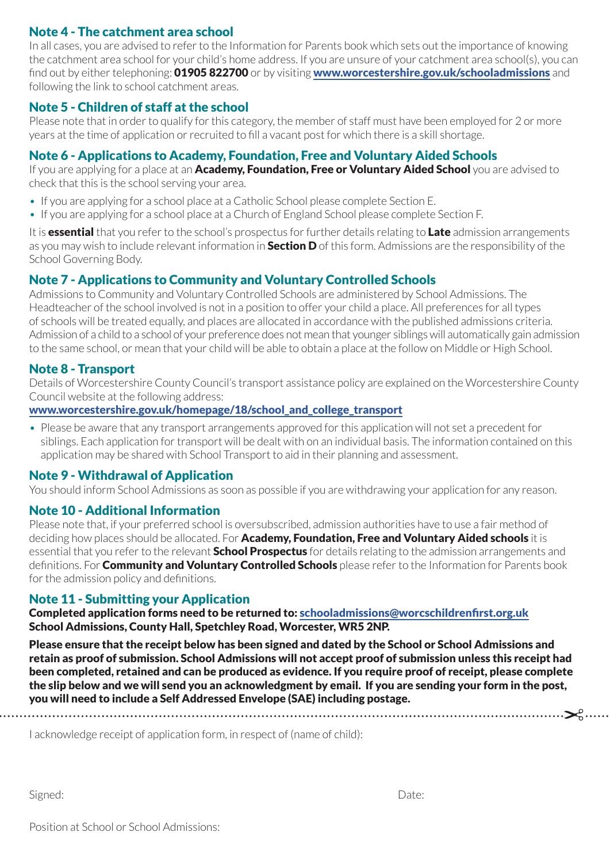## Note 4 - The catchment area school

In all cases, you are advised to refer to the Information for Parents book which sets out the importance of knowing the catchment area school for your child's home address. If you are unsure of your catchment area school(s), you can find out by either telephoning: 01905 822700 or by visiting www.worcestershire.gov.uk/schooladmissions and following the link to school catchment areas.

### Note 5 - Children of staff at the school

Please note that in order to qualify for this category, the member of staff must have been employed for 2 or more years at the time of application or recruited to fill a vacant post for which there is a skill shortage.

## Note 6 - Applications to Academy, Foundation, Free and Voluntary Aided Schools

If you are applying for a place at an **Academy, Foundation, Free or Voluntary Aided School** you are advised to check that this is the school serving your area.

- If you are applying for a school place at a Catholic School please complete Section E.
- If you are applying for a school place at a Church of England School please complete Section F.

It is **essential** that you refer to the school's prospectus for further details relating to **Late** admission arrangements as you may wish to include relevant information in **Section D** of this form. Admissions are the responsibility of the School Governing Body.

### Note 7 - Applications to Community and Voluntary Controlled Schools

Admissions to Community and Voluntary Controlled Schools are administered by School Admissions. The Headteacher of the school involved is not in a position to offer your child a place. All preferences for all types of schools will be treated equally, and places are allocated in accordance with the published admissions criteria. Admission of a child to a school of your preference does not mean that younger siblings will automatically gain admission to the same school, or mean that your child will be able to obtain a place at the follow on Middle or High School.

### Note 8 - Transport

Details of Worcestershire County Council's transport assistance policy are explained on the Worcestershire County Council website at the following address:

#### www.worcestershire.gov.uk/homepage/18/school\_and\_college\_transport

• Please be aware that any transport arrangements approved for this application will not set a precedent for siblings. Each application for transport will be dealt with on an individual basis. The information contained on this application may be shared with School Transport to aid in their planning and assessment.

### Note 9 - Withdrawal of Application

You should inform School Admissions as soon as possible if you are withdrawing your application for any reason.

### Note 10 - Additional Information

Please note that, if your preferred school is oversubscribed, admission authorities have to use a fair method of deciding how places should be allocated. For Academy, Foundation, Free and Voluntary Aided schools it is essential that you refer to the relevant **School Prospectus** for details relating to the admission arrangements and definitions. For **Community and Voluntary Controlled Schools** please refer to the Information for Parents book for the admission policy and definitions.

### Note 11 - Submitting your Application

Completed application forms need to be returned to: schooladmissions@worcschildrenfirst.org.uk School Admissions, County Hall, Spetchley Road, Worcester, WR5 2NP.

Please ensure that the receipt below has been signed and dated by the School or School Admissions and retain as proof of submission. School Admissions will not accept proof of submission unless this receipt had been completed, retained and can be produced as evidence. If you require proof of receipt, please complete the slip below and we will send you an acknowledgment by email. If you are sending your form in the post, you will need to include a Self Addressed Envelope (SAE) including postage.

I acknowledge receipt of application form, in respect of (name of child):

Signed: Date: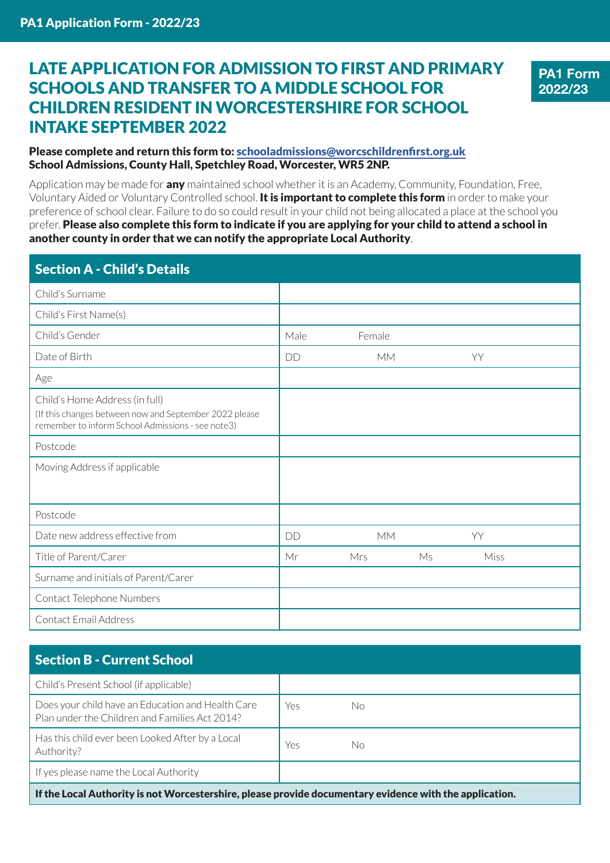# LATE APPLICATION FOR ADMISSION TO FIRST AND PRIMARY SCHOOLS AND TRANSFER TO A MIDDLE SCHOOL FOR CHILDREN RESIDENT IN WORCESTERSHIRE FOR SCHOOL INTAKE SEPTEMBER 2022

**PA1 Form 2022/23**

#### Please complete and return this form to: schooladmissions@worcschildrenfirst.org.uk School Admissions, County Hall, Spetchley Road, Worcester, WR5 2NP.

Application may be made for **any** maintained school whether it is an Academy, Community, Foundation, Free, Voluntary Aided or Voluntary Controlled school. **It is important to complete this form** in order to make your preference of school clear. Failure to do so could result in your child not being allocated a place at the school you prefer. Please also complete this form to indicate if you are applying for your child to attend a school in another county in order that we can notify the appropriate Local Authority.

| <b>Section A - Child's Details</b>                                                                                                            |      |           |    |      |
|-----------------------------------------------------------------------------------------------------------------------------------------------|------|-----------|----|------|
| Child's Surname                                                                                                                               |      |           |    |      |
| Child's First Name(s)                                                                                                                         |      |           |    |      |
| Child's Gender                                                                                                                                | Male | Female    |    |      |
| Date of Birth                                                                                                                                 | DD   | МM        |    | YY   |
| Age                                                                                                                                           |      |           |    |      |
| Child's Home Address (in full)<br>(If this changes between now and September 2022 please<br>remember to inform School Admissions - see note3) |      |           |    |      |
| Postcode                                                                                                                                      |      |           |    |      |
| Moving Address if applicable                                                                                                                  |      |           |    |      |
| Postcode                                                                                                                                      |      |           |    |      |
| Date new address effective from                                                                                                               | DD   | <b>MM</b> |    | YY   |
| Title of Parent/Carer                                                                                                                         | Mr   | Mrs       | Ms | Miss |
| Surname and initials of Parent/Carer                                                                                                          |      |           |    |      |
| Contact Telephone Numbers                                                                                                                     |      |           |    |      |
| Contact Email Address                                                                                                                         |      |           |    |      |

# Section B - Current School

| Child's Present School (if applicable)                                                                  |     |    |  |
|---------------------------------------------------------------------------------------------------------|-----|----|--|
| Does your child have an Education and Health Care<br>Plan under the Children and Families Act 2014?     | Yes | No |  |
| Has this child ever been Looked After by a Local<br>Authority?                                          | Yes | No |  |
| If yes please name the Local Authority                                                                  |     |    |  |
| If the Local Authority is not Worcestershire, please provide documentary evidence with the application. |     |    |  |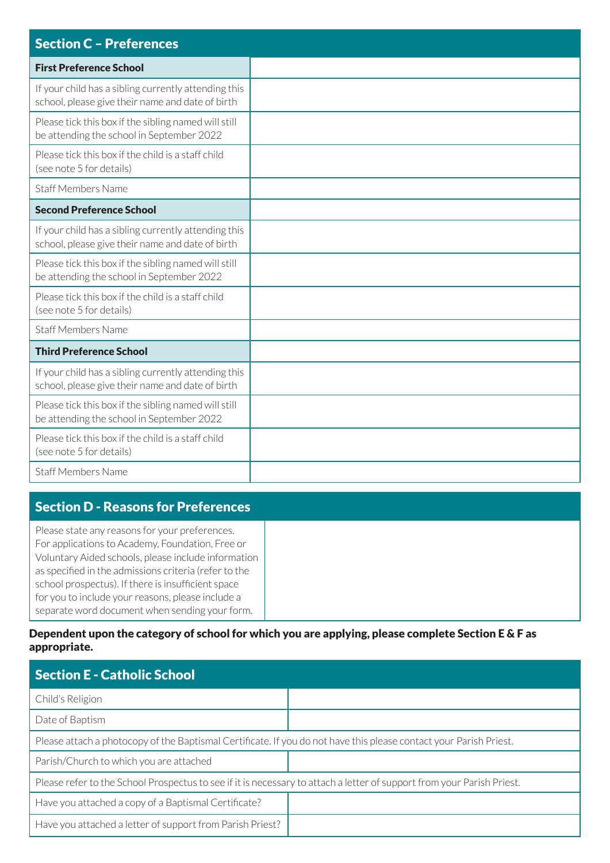| <b>Section C - Preferences</b>                                                                           |
|----------------------------------------------------------------------------------------------------------|
| <b>First Preference School</b>                                                                           |
| If your child has a sibling currently attending this<br>school, please give their name and date of birth |
| Please tick this box if the sibling named will still<br>be attending the school in September 2022        |
| Please tick this box if the child is a staff child<br>(see note 5 for details)                           |
| <b>Staff Members Name</b>                                                                                |
| <b>Second Preference School</b>                                                                          |
| If your child has a sibling currently attending this<br>school, please give their name and date of birth |
| Please tick this box if the sibling named will still<br>be attending the school in September 2022        |
| Please tick this box if the child is a staff child<br>(see note 5 for details)                           |
| <b>Staff Members Name</b>                                                                                |
| <b>Third Preference School</b>                                                                           |
| If your child has a sibling currently attending this<br>school, please give their name and date of birth |
| Please tick this box if the sibling named will still<br>be attending the school in September 2022        |
| Please tick this box if the child is a staff child<br>(see note 5 for details)                           |
| <b>Staff Members Name</b>                                                                                |

# Section D - Reasons for Preferences

Please state any reasons for your preferences. For applications to Academy, Foundation, Free or Voluntary Aided schools, please include information as specified in the admissions criteria (refer to the school prospectus). If there is insufficient space for you to include your reasons, please include a separate word document when sending your form.

#### Dependent upon the category of school for which you are applying, please complete Section E & F as appropriate.

| <b>Section E - Catholic School</b>                                                                                     |  |  |
|------------------------------------------------------------------------------------------------------------------------|--|--|
| Child's Religion                                                                                                       |  |  |
| Date of Baptism                                                                                                        |  |  |
| Please attach a photocopy of the Baptismal Certificate. If you do not have this please contact your Parish Priest.     |  |  |
| Parish/Church to which you are attached                                                                                |  |  |
| Please refer to the School Prospectus to see if it is necessary to attach a letter of support from your Parish Priest. |  |  |
| Have you attached a copy of a Baptismal Certificate?                                                                   |  |  |
| Have you attached a letter of support from Parish Priest?                                                              |  |  |